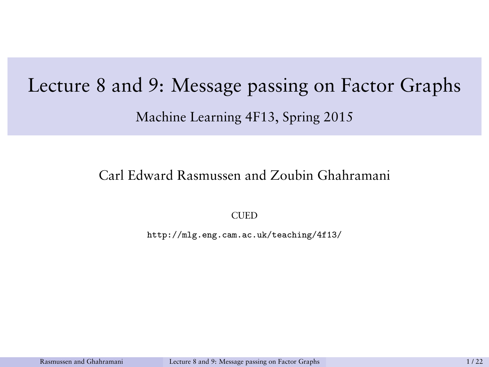# <span id="page-0-0"></span>Lecture 8 and 9: Message passing on Factor Graphs Machine Learning 4F13, Spring 2015

#### Carl Edward Rasmussen and Zoubin Ghahramani

**CUED** 

http://mlg.eng.cam.ac.uk/teaching/4f13/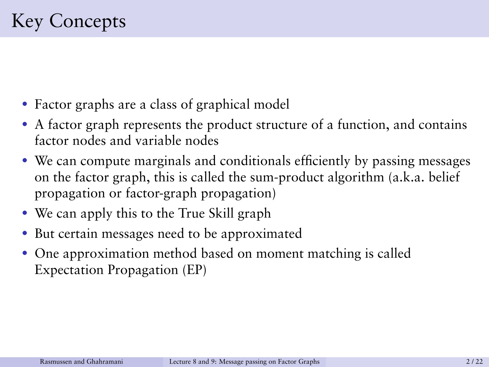- Factor graphs are a class of graphical model
- A factor graph represents the product structure of a function, and contains factor nodes and variable nodes
- We can compute marginals and conditionals efficiently by passing messages on the factor graph, this is called the sum-product algorithm (a.k.a. belief propagation or factor-graph propagation)
- We can apply this to the True Skill graph
- But certain messages need to be approximated
- One approximation method based on moment matching is called Expectation Propagation (EP)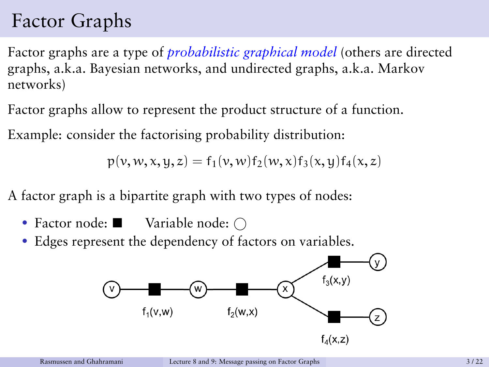# Factor Graphs

Factor graphs are a type of *probabilistic graphical model* (others are directed graphs, a.k.a. Bayesian networks, and undirected graphs, a.k.a. Markov networks)

Factor graphs allow to represent the product structure of a function.

Example: consider the factorising probability distribution:

 $p(y, w, x, u, z) = f_1(y, w) f_2(w, x) f_3(x, u) f_4(x, z)$ 

A factor graph is a bipartite graph with two types of nodes:

- Factor node:  $\blacksquare$  Variable node:  $\bigcap$
- Edges represent the dependency of factors on variables.

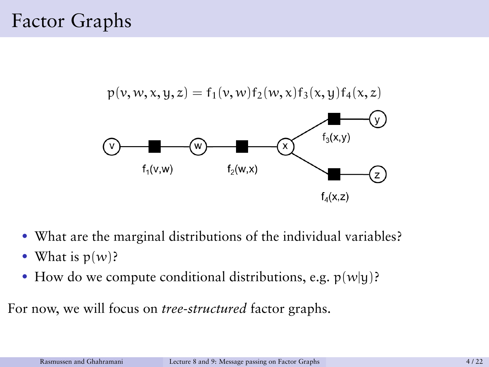## Factor Graphs



- What are the marginal distributions of the individual variables?
- What is  $p(w)$ ?
- How do we compute conditional distributions, e.g.  $p(w|y)$ ?

For now, we will focus on *tree-structured* factor graphs.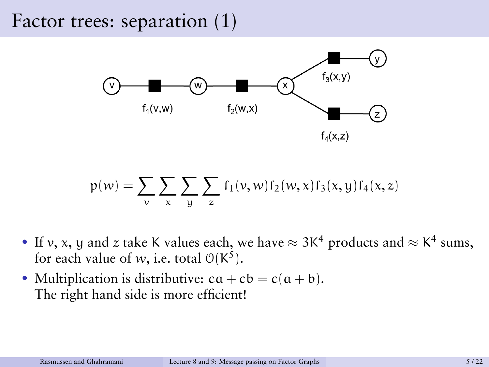#### Factor trees: separation (1)



$$
p(w) = \sum_{\nu} \sum_{x} \sum_{y} \sum_{z} f_1(\nu, w) f_2(w, x) f_3(x, y) f_4(x, z)
$$

- If v, x, y and z take K values each, we have  $\approx 3K^4$  products and  $\approx K^4$  sums, for each value of w, i.e. total  $O(K^5)$ .
- Multiplication is distributive:  $ca + cb = c(a + b)$ . The right hand side is more efficient!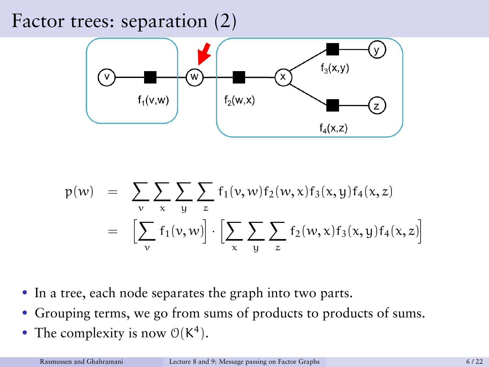#### Factor trees: separation (2)



$$
p(w) = \sum_{v} \sum_{x} \sum_{y} \sum_{z} f_1(v, w) f_2(w, x) f_3(x, y) f_4(x, z)
$$
  

$$
= \left[ \sum_{v} f_1(v, w) \right] \cdot \left[ \sum_{x} \sum_{y} \sum_{z} f_2(w, x) f_3(x, y) f_4(x, z) \right]
$$

- In a tree, each node separates the graph into two parts.
- Grouping terms, we go from sums of products to products of sums.
- The complexity is now  $O(K^4)$ .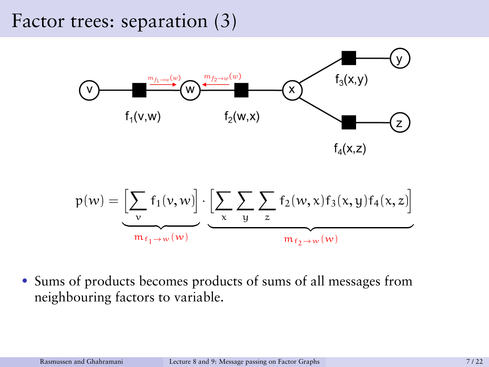#### Factor trees: separation (3)



$$
p(w) = \underbrace{\left[\sum_{v} f_1(v, w)\right]}_{m_{f_1 \to w}(w)} \cdot \underbrace{\left[\sum_{x} \sum_{y} \sum_{z} f_2(w, x) f_3(x, y) f_4(x, z)\right]}_{m_{f_2 \to w}(w)}
$$

• Sums of products becomes products of sums of all messages from neighbouring factors to variable.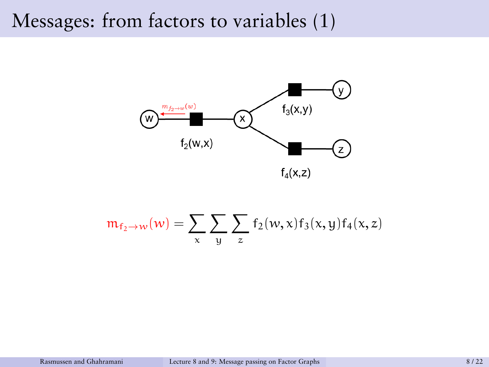#### Messages: from factors to variables (1)



$$
\mathfrak{m}_{f_2\to w}(w)=\sum_x\sum_y\sum_z f_2(w,x)f_3(x,y)f_4(x,z)
$$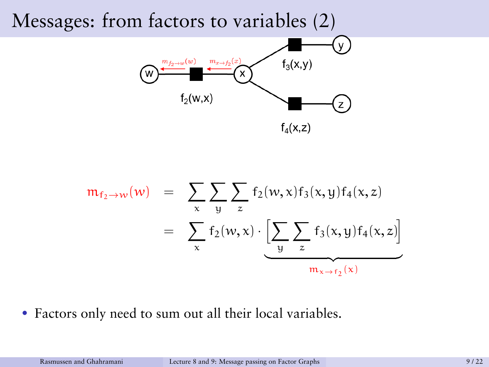## Messages: from factors to variables (2)



$$
m_{f_2 \to w}(w) = \sum_{x} \sum_{y} \sum_{z} f_2(w, x) f_3(x, y) f_4(x, z)
$$
  
= 
$$
\sum_{x} f_2(w, x) \cdot \underbrace{\left[\sum_{y} \sum_{z} f_3(x, y) f_4(x, z)\right]}_{m_{x \to f_2}(x)}
$$

• Factors only need to sum out all their local variables.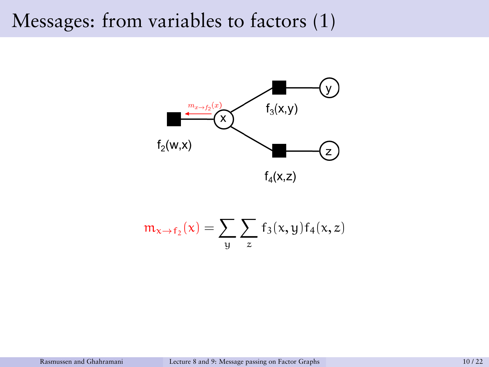#### Messages: from variables to factors (1)





$$
m_{x \to f_2}(x) = \sum_{y} \sum_{z} f_3(x, y) f_4(x, z)
$$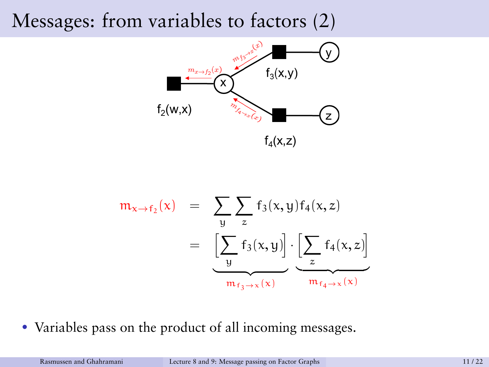#### Messages: from variables to factors (2)



$$
m_{x \to f_2}(x) = \sum_{y} \sum_{z} f_3(x, y) f_4(x, z)
$$
  
= 
$$
\underbrace{\left[\sum_{y} f_3(x, y)\right]}_{m_{f_3 \to x}(x)} \cdot \underbrace{\left[\sum_{z} f_4(x, z)\right]}_{m_{f_4 \to x}(x)}
$$

• Variables pass on the product of all incoming messages.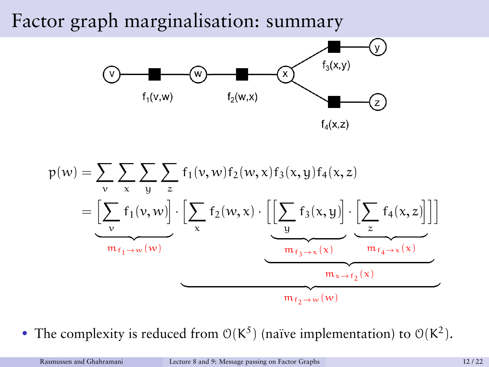#### Factor graph marginalisation: summary





• The complexity is reduced from  $O(K^5)$  (naïve implementation) to  $O(K^2)$ .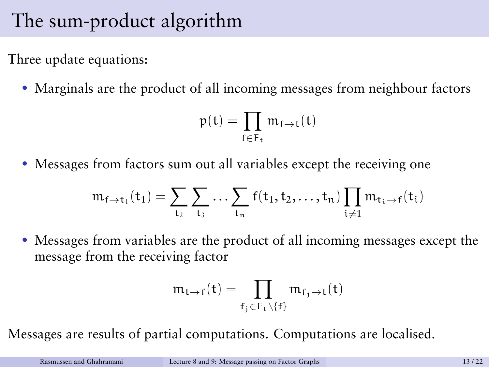# The sum-product algorithm

Three update equations:

• Marginals are the product of all incoming messages from neighbour factors

$$
p(t)=\prod_{f\in F_t}m_{f\rightarrow t}(t)
$$

• Messages from factors sum out all variables except the receiving one

$$
\mathfrak{m}_{\mathsf{f}\rightarrow \mathsf{t}_1}(\mathsf{t}_1)=\sum_{\mathsf{t}_2}\sum_{\mathsf{t}_3}\ldots \sum_{\mathsf{t}_n}\mathsf{f}(\mathsf{t}_1,\mathsf{t}_2,\ldots,\mathsf{t}_n)\prod_{i\neq 1}\mathfrak{m}_{\mathsf{t}_i\rightarrow \mathsf{f}}(\mathsf{t}_i)
$$

• Messages from variables are the product of all incoming messages except the message from the receiving factor

$$
\mathfrak{m}_{\mathfrak{t}\to\mathfrak{f}}(\mathfrak{t})=\prod_{f_j\in F_{\mathfrak{t}}\setminus\{f\}}\mathfrak{m}_{f_j\to\mathfrak{t}}(\mathfrak{t})
$$

Messages are results of partial computations. Computations are localised.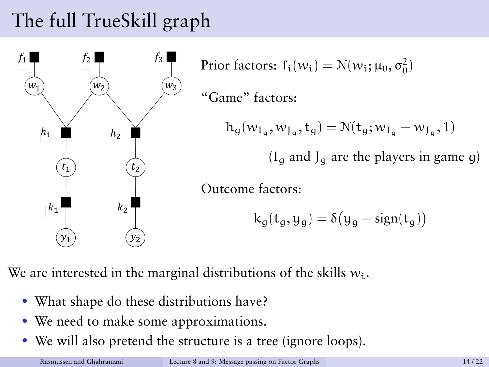# The full TrueSkill graph



We are interested in the marginal distributions of the skills  $w_i$ .

- What shape do these distributions have?
- We need to make some approximations.
- We will also pretend the structure is a tree (ignore loops).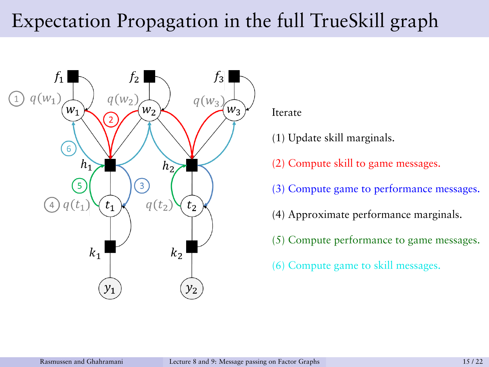# Expectation Propagation in the full TrueSkill graph



Iterate

- (1) Update skill marginals.
- (2) Compute skill to game messages.
- (3) Compute game to performance messages.
- (4) Approximate performance marginals.
- (5) Compute performance to game messages.
- (6) Compute game to skill messages.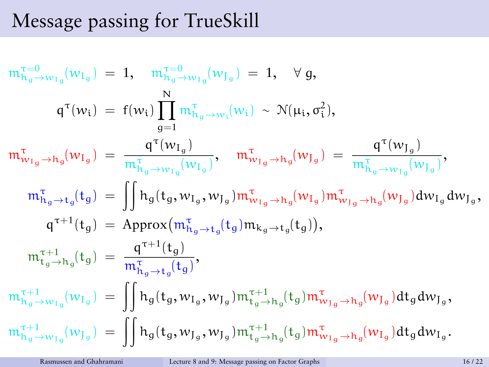# Message passing for TrueSkill

$$
\begin{array}{lllllll} & m^{\tau=0}_{h_{g}\to w_{I_{g}}}(w_{I_{g}}) \; = \; 1, \quad \ \ m^{\tau=0}_{h_{g}\to w_{J_{g}}}(w_{J_{g}}) \; = \; 1, \quad \ \ \forall \; g, \\ & q^{\tau}(w_{i}) \; = \; f(w_{i}) \displaystyle\prod_{g=1}^{N} m^{\tau}_{h_{g}\to w_{i}}(w_{i}) \; \sim \; \mathcal{N}(\mu_{i}, \sigma_{i}^{2}), \\ & m^{\tau}_{w_{I_{g}}\to h_{g}}(w_{I_{g}}) \; = \; \displaystyle\frac{q^{\tau}(w_{I_{g}})}{m^{\tau}_{h_{g}\to w_{I_{g}}}(w_{I_{g}})}, \quad \ \ m^{\tau}_{w_{J_{g}}\to h_{g}}(w_{J_{g}}) \; = \; \displaystyle\frac{q^{\tau}(w_{J_{g}})}{m^{\tau}_{h_{g}\to w_{J_{g}}}(w_{I_{g}})}, \\ & m^{\tau}_{h_{g}\to t_{g}}(t_{g}) \; = \; \displaystyle\iint h_{g}(t_{g}, w_{I_{g}}, w_{J_{g}}) m^{\tau}_{w_{I_{g}}\to h_{g}}(w_{I_{g}}) m^{\tau}_{w_{J_{g}}\to h_{g}}(w_{J_{g}}) dw_{I_{g}} dw_{J_{g}}, \\ & q^{\tau+1}(t_{g}) \; = \; \displaystyle\operatorname*{Approx}(m^{\tau}_{h_{g}\to t_{g}}(t_{g}) m_{k_{g}\to t_{g}}(t_{g})), \\ & m^{\tau+1}_{t_{g}\to h_{g}}(t_{g}) \; = \; \displaystyle\frac{q^{\tau+1}(t_{g})}{m^{\tau}_{h_{g}\to t_{g}}(t_{g})}, \\ & m^{\tau+1}_{h_{g}\to w_{I_{g}}}(w_{I_{g}}) \; = \; \displaystyle\iint h_{g}(t_{g}, w_{I_{g}}, w_{J_{g}}) m^{\tau+1}_{t_{g}\to h_{g}}(t_{g}) m^{\tau}_{w_{I_{g}}\to h_{g}}(w_{J_{g}}) dt_{g} dw_{J_{g}}, \\ & m^{\tau+1}_{h_{g}\to w_{J_{g}}}(w_{J_{g}}) \; = \; \displaystyle\iint h_{g}(t_{g}, w_{J_{g}}, w_{J_{g}}) m^{\tau+1}_{t_{g
$$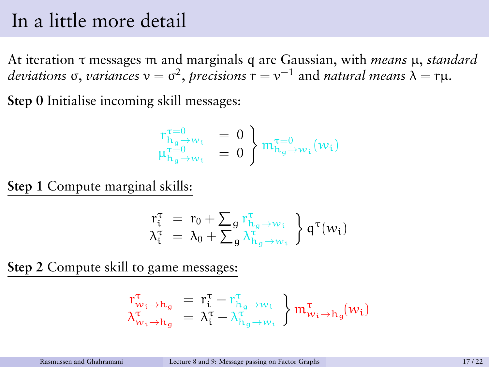#### In a little more detail

At iteration τ messages m and marginals q are Gaussian, with *means* µ, *standard*  $deviations$  σ, *variances*  $ν = σ<sup>2</sup>$ , *precisions*  $r = ν<sup>-1</sup>$  and *natural means*  $λ = rμ$ .

**Step 0** Initialise incoming skill messages:

$$
\begin{array}{ll}r_{h_g\rightarrow w_i}^{\tau=0}&=0\\ \mu_{h_g\rightarrow w_i}^{\tau=0}&=0\end{array}\bigg\}\begin{array}{l} \pi_{h_g\rightarrow w_i}^{\tau=0}(w_i)\\ \end{array}
$$

**Step 1** Compute marginal skills:

$$
\begin{array}{l}r_{\mathfrak{t}}^{\tau} \;=\; r_{0} + \sum_{g} r_{h_{g} \rightarrow w_{\mathfrak{t}}}^{\tau} \\ \lambda_{\mathfrak{t}}^{\tau} \;=\; \lambda_{0} + \sum_{g} \lambda_{h_{g} \rightarrow w_{\mathfrak{t}}}^{\tau} \end{array} \bigg\}\, q^{\tau}(w_{\mathfrak{t}})
$$

**Step 2** Compute skill to game messages:

$$
\begin{array}{llll}r^{\tau}_{w_i\rightarrow h_g} & = & r^{\tau}_i - r^{\tau}_{h_g\rightarrow w_i}\\ \lambda^{\tau}_{w_i\rightarrow h_g} & = & \lambda^{\tau}_i - \lambda^{\tau}_{h_g\rightarrow w_i}\\ \end{array} \Big\}\,m^{\tau}_{w_i\rightarrow h_g}(w_i)
$$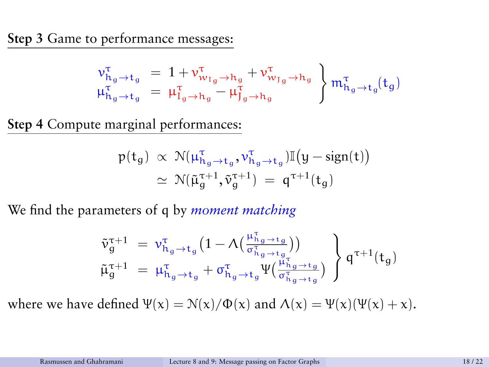**Step 3** Game to performance messages:

$$
\begin{array}{l} \nu_{h_g \rightarrow t_g}^\tau \ = \ 1 + \nu_{w_{1_g} \rightarrow h_g}^\tau + \nu_{w_{J_g} \rightarrow h_g}^\tau \\ \mu_{h_g \rightarrow t_g}^\tau \ = \ \mu_{I_g \rightarrow h_g}^\tau - \mu_{J_g \rightarrow h_g}^\tau \end{array} \bigg\} \, {\mathfrak m}_{h_g \rightarrow t_g}^\tau (t_g)
$$

**Step 4** Compute marginal performances:

$$
\begin{array}{lcl} p(t_g) \; \propto \; \mathcal{N}(\mu_{h_g \rightarrow t_g}^\tau, \nu_{h_g \rightarrow t_g}^\tau) \mathbb{I}\big(y - \text{sign}(t)\big) \\ \; \simeq \; \mathcal{N}(\tilde{\mu}_g^{\tau+1}, \tilde{\nu}_g^{\tau+1}) \; = \; q^{\tau+1}(t_g) \end{array}
$$

We find the parameters of q by *moment matching*

$$
\left.\begin{array}{lll} \tilde{\nu}_g^{\tau+1} & = \left.\nu_{h_g \rightarrow t_g}^\tau \big(1-\Lambda\big(\frac{\mu_{h_g \rightarrow t_g}^\tau}{\sigma_{h_g \rightarrow t_g}^\tau}\big)\big) \right. \\ \left.\tilde{\mu}_g^{\tau+1} & = \left.\mu_{h_g \rightarrow t_g}^\tau + \sigma_{h_g \rightarrow t_g}^\tau \Psi\big(\frac{\mu_{h_g \rightarrow t_g}^\tau}{\sigma_{h_g \rightarrow t_g}^\tau}\big)\right. \end{array}\right\} \mathfrak{q}^{\tau+1}(t_g)
$$

where we have defined  $\Psi(x) = N(x)/\Phi(x)$  and  $\Lambda(x) = \Psi(x)(\Psi(x) + x)$ .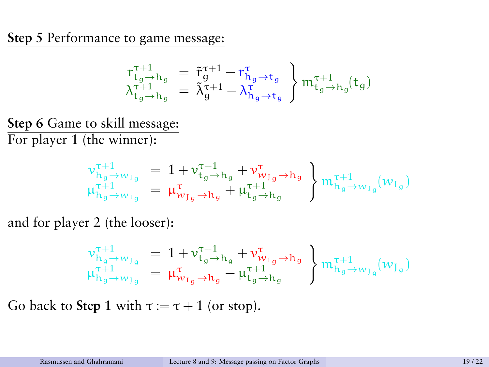**Step 5** Performance to game message:

$$
\begin{array}{l} r_{t_g \rightarrow h_g}^{\tau+1} ~=~ \tilde{r}_g^{\tau+1} - r_{h_g \rightarrow t_g}^{\tau} \\ \lambda_{t_g \rightarrow h_g}^{\tau+1} ~=~ \tilde{\lambda}_g^{\tau+1} - \lambda_{h_g \rightarrow t_g}^{\tau} \end{array} \bigg\} \, {\mathfrak m}_{t_g \rightarrow h_g}^{\tau+1} (t_g)
$$

**Step 6** Game to skill message: For player 1 (the winner):

$$
\begin{array}{l} \nu_{h_g \to w_{I_g}}^{\tau+1} \ = \ 1 + \nu_{t_g \to h_g}^{\tau+1} + \nu_{w_{J_g} \to h_g}^{\tau} \\ \mu_{h_g \to w_{I_g}}^{\tau+1} \ = \ \mu_{w_{J_g} \to h_g}^{\tau} + \mu_{t_g \to h_g}^{\tau+1} \end{array} \bigg\} \, {\rm m}_{h_g \to w_{I_g}}^{\tau+1} (w_{I_g})
$$

and for player 2 (the looser):

v τ+1 hg→wJg = 1 + v τ+1 tg→h<sup>g</sup> + v τ wIg→h<sup>g</sup> µ τ+1 hg→wJg = µ τ wIg→h<sup>g</sup> − µ τ+1 tg→h<sup>g</sup> m<sup>τ</sup>+<sup>1</sup> hg→wJg (w<sup>J</sup><sup>g</sup> )

Go back to **Step 1** with  $\tau := \tau + 1$  (or stop).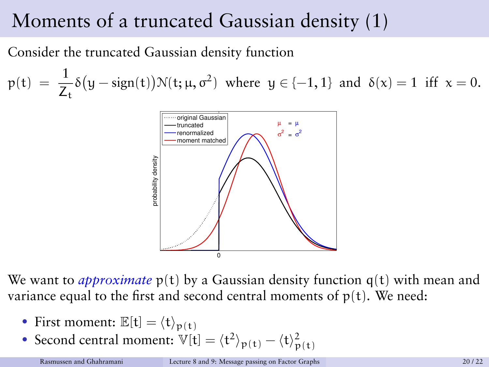# Moments of a truncated Gaussian density (1)

Consider the truncated Gaussian density function

 $p(t) = \frac{1}{Z_t} \delta(y - sign(t)) \mathcal{N}(t; \mu, \sigma^2)$  where  $y \in \{-1, 1\}$  and  $\delta(x) = 1$  iff  $x = 0$ .



We want to *approximate*  $p(t)$  by a Gaussian density function  $q(t)$  with mean and variance equal to the first and second central moments of  $p(t)$ . We need:

- First moment:  $\mathbb{E}[\mathbf{t}] = \langle \mathbf{t} \rangle_{\mathbf{p}(\mathbf{t})}$
- Second central moment:  $\mathbb{V}[t] = \langle t^2 \rangle_{p(t)} \langle t \rangle_{p(t)}^2$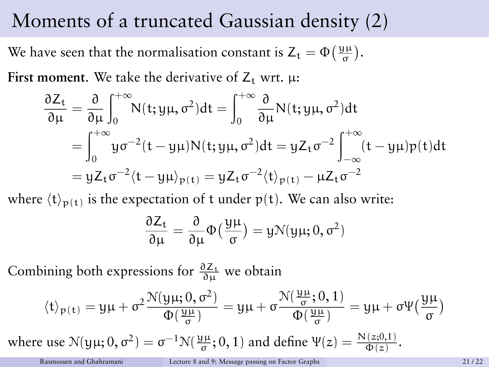### Moments of a truncated Gaussian density (2)

We have seen that the normalisation constant is  $Z_t = \Phi\left(\frac{y\mu}{\sigma}\right)$ .

**First moment.** We take the derivative of  $Z_t$  wrt.  $\mu$ :

$$
\frac{\partial Z_t}{\partial \mu} = \frac{\partial}{\partial \mu} \int_0^{+\infty} N(t; y\mu, \sigma^2) dt = \int_0^{+\infty} \frac{\partial}{\partial \mu} N(t; y\mu, \sigma^2) dt
$$
  
= 
$$
\int_0^{+\infty} y\sigma^{-2} (t - y\mu) N(t; y\mu, \sigma^2) dt = yZ_t \sigma^{-2} \int_{-\infty}^{+\infty} (t - y\mu) p(t) dt
$$
  
= 
$$
yZ_t \sigma^{-2} \langle t - y\mu \rangle_{p(t)} = yZ_t \sigma^{-2} \langle t \rangle_{p(t)} - \mu Z_t \sigma^{-2}
$$

where  $\langle t \rangle_{p(t)}$  is the expectation of t under p(t). We can also write:

$$
\frac{\partial Z_t}{\partial \mu} = \frac{\partial}{\partial \mu} \Phi\left(\frac{y\mu}{\sigma}\right) = y \mathcal{N}(y\mu; 0, \sigma^2)
$$

Combining both expressions for  $\frac{\partial Z_t}{\partial \mu}$  we obtain

$$
\langle t \rangle_{p(\mathfrak{t})} = y \mu + \sigma^2 \frac{\mathcal{N}(y \mu ; 0, \sigma^2)}{\Phi(\frac{y \mu}{\sigma})} = y \mu + \sigma \frac{\mathcal{N}(\frac{y \mu}{\sigma} ; 0, 1)}{\Phi(\frac{y \mu}{\sigma})} = y \mu + \sigma \Psi(\frac{y \mu}{\sigma})
$$
  
where use  $\mathcal{N}(y \mu ; 0, \sigma^2) = \sigma^{-1} \mathcal{N}(\frac{y \mu}{\sigma}; 0, 1)$  and define  $\Psi(z) = \frac{\mathcal{N}(z; 0, 1)}{\Phi(z)}$ .